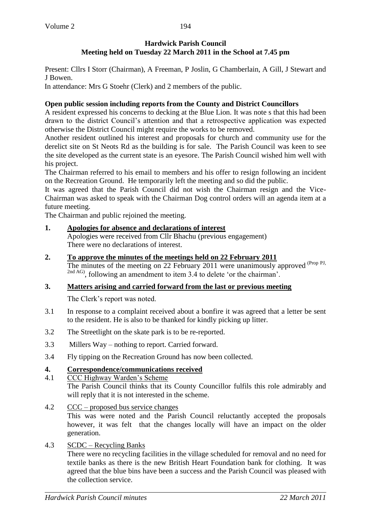Present: Cllrs I Storr (Chairman), A Freeman, P Joslin, G Chamberlain, A Gill, J Stewart and J Bowen.

In attendance: Mrs G Stoehr (Clerk) and 2 members of the public.

#### **Open public session including reports from the County and District Councillors**

A resident expressed his concerns to decking at the Blue Lion. It was note s that this had been drawn to the district Council's attention and that a retrospective application was expected otherwise the District Council might require the works to be removed.

Another resident outlined his interest and proposals for church and community use for the derelict site on St Neots Rd as the building is for sale. The Parish Council was keen to see the site developed as the current state is an eyesore. The Parish Council wished him well with his project.

The Chairman referred to his email to members and his offer to resign following an incident on the Recreation Ground. He temporarily left the meeting and so did the public.

It was agreed that the Parish Council did not wish the Chairman resign and the Vice-Chairman was asked to speak with the Chairman Dog control orders will an agenda item at a future meeting.

The Chairman and public rejoined the meeting.

## **1. Apologies for absence and declarations of interest**

Apologies were received from Cllr Bhachu (previous engagement) There were no declarations of interest.

**2. To approve the minutes of the meetings held on 22 February 2011**

The minutes of the meeting on 22 February 2011 were unanimously approved (Prop PJ, <sup>2nd AG</sup>), following an amendment to item 3.4 to delete 'or the chairman'.

#### **3. Matters arising and carried forward from the last or previous meeting**

The Clerk's report was noted.

- 3.1 In response to a complaint received about a bonfire it was agreed that a letter be sent to the resident. He is also to be thanked for kindly picking up litter.
- 3.2 The Streetlight on the skate park is to be re-reported.
- 3.3 Millers Way nothing to report. Carried forward.
- 3.4 Fly tipping on the Recreation Ground has now been collected.

#### **4. Correspondence/communications received**

4.1 CCC Highway Warden's Scheme

The Parish Council thinks that its County Councillor fulfils this role admirably and will reply that it is not interested in the scheme.

4.2 CCC – proposed bus service changes

This was were noted and the Parish Council reluctantly accepted the proposals however, it was felt that the changes locally will have an impact on the older generation.

#### 4.3 SCDC – Recycling Banks

There were no recycling facilities in the village scheduled for removal and no need for textile banks as there is the new British Heart Foundation bank for clothing. It was agreed that the blue bins have been a success and the Parish Council was pleased with the collection service.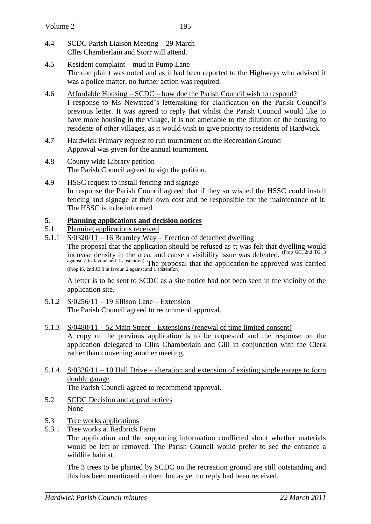- 4.4 SCDC Parish Liaison Meeting 29 March Cllrs Chamberlain and Storr will attend.
- 4.5 Resident complaint mud in Pump Lane The complaint was noted and as it had been reported to the Highways who advised it was a police matter, no further action was required.
- 4.6 Affordable Housing SCDC how doe the Parish Council wish to respond? I response to Ms Newstead's letterasking for clarification on the Parish Council's previous letter. It was agreed to reply that whilst the Parish Council would like to have more housing in the village, it is not amenable to the dilution of the housing to residents of other villages, as it would wish to give priority to residents of Hardwick.
- 4.7 Hardwick Primary request to run tournament on the Recreation Ground Approval was given for the annual tournament.
- 4.8 County wide Library petition The Parish Council agreed to sign the petition.
- 4.9 HSSC request to install fencing and signage In response the Parish Council agreed that if they so wished the HSSC could install fencing and signage at their own cost and be responsible for the maintenance of it. The HSSC is to be informed.

# **5. Planning applications and decision notices**

- 5.1 Planning applications received
- 5.1.1 S/0320/11 16 Bramley Way Erection of detached dwelling

The proposal that the application should be refused as tt was felt that dwelling would increase density in the area, and cause a visibility issue was defeated. <sup>(Prop GC, 2nd TG, 3</sup>) against 2 in favour and 1 abstention) The proposal that the application be approved was carried (Prop IS, 2nd JB 3 in favour, 2 against and 1 abstention)

A letter is to be sent to SCDC as a site notice had not been seen in the vicinity of the application site.

- 5.1.2 S/0256/11 19 Ellison Lane Extension The Parish Council agreed to recommend approval.
- 5.1.3 S/0480/11 52 Main Street Extensions (renewal of time limited consent)

A copy of the previous application is to be requested and the response on the application delegated to Cllrs Chamberlain and Gill in conjunction with the Clerk rather than convening another meeting.

- 5.1.4 S/0326/11 10 Hall Drive alteration and extension of existing single garage to form double garage The Parish Council agreed to recommend approval.
- 5.2 SCDC Decision and appeal notices None
- 5.3 Tree works applications
- 5.3.1 Tree works at Redbrick Farm

The application and the supporting information conflicted about whether materials would be left or removed. The Parish Council would prefer to see the entrance a wildlife habitat.

The 3 trees to be planted by SCDC on the recreation ground are still outstanding and this has been mentioned to them but as yet no reply had been received.